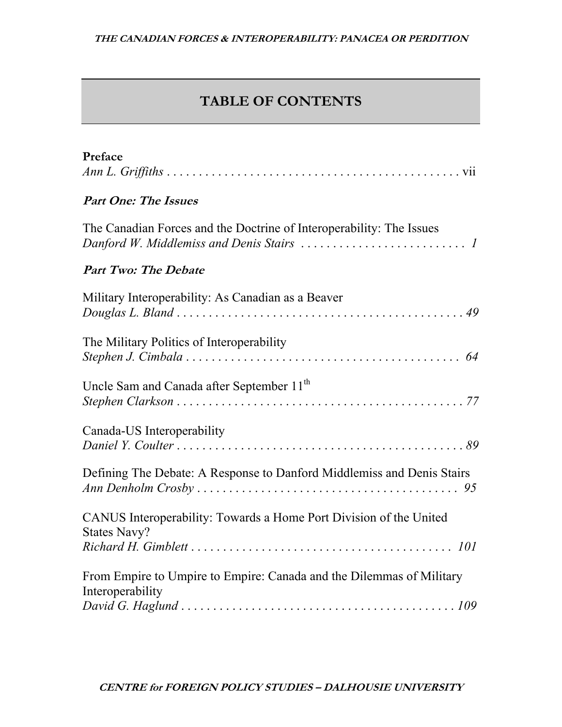## **TABLE OF CONTENTS**

| Preface                                                                                                                                                                  |
|--------------------------------------------------------------------------------------------------------------------------------------------------------------------------|
| <b>Part One: The Issues</b>                                                                                                                                              |
| The Canadian Forces and the Doctrine of Interoperability: The Issues<br>Danford W. Middlemiss and Denis Stairs $\ldots \ldots \ldots \ldots \ldots \ldots \ldots \ldots$ |
| <b>Part Two: The Debate</b>                                                                                                                                              |
| Military Interoperability: As Canadian as a Beaver                                                                                                                       |
| The Military Politics of Interoperability                                                                                                                                |
| Uncle Sam and Canada after September 11 <sup>th</sup>                                                                                                                    |
| Canada-US Interoperability                                                                                                                                               |
| Defining The Debate: A Response to Danford Middlemiss and Denis Stairs                                                                                                   |
| CANUS Interoperability: Towards a Home Port Division of the United<br><b>States Navy?</b>                                                                                |
|                                                                                                                                                                          |
| From Empire to Umpire to Empire: Canada and the Dilemmas of Military<br>Interoperability                                                                                 |
|                                                                                                                                                                          |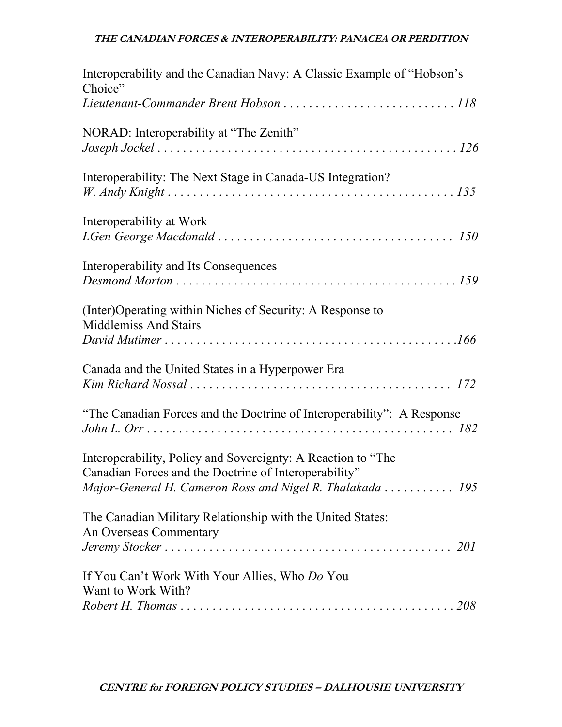## **THE CANADIAN FORCES & INTEROPERABILITY: PANACEA OR PERDITION**

| Interoperability and the Canadian Navy: A Classic Example of "Hobson's<br>Choice"                                                                                                  |
|------------------------------------------------------------------------------------------------------------------------------------------------------------------------------------|
|                                                                                                                                                                                    |
| NORAD: Interoperability at "The Zenith"                                                                                                                                            |
| Interoperability: The Next Stage in Canada-US Integration?                                                                                                                         |
| Interoperability at Work                                                                                                                                                           |
| Interoperability and Its Consequences                                                                                                                                              |
| (Inter) Operating within Niches of Security: A Response to<br><b>Middlemiss And Stairs</b>                                                                                         |
| Canada and the United States in a Hyperpower Era                                                                                                                                   |
| "The Canadian Forces and the Doctrine of Interoperability": A Response                                                                                                             |
| Interoperability, Policy and Sovereignty: A Reaction to "The<br>Canadian Forces and the Doctrine of Interoperability"<br>Major-General H. Cameron Ross and Nigel R. Thalakada  195 |
| The Canadian Military Relationship with the United States:<br>An Overseas Commentary                                                                                               |
| If You Can't Work With Your Allies, Who Do You<br>Want to Work With?                                                                                                               |
|                                                                                                                                                                                    |